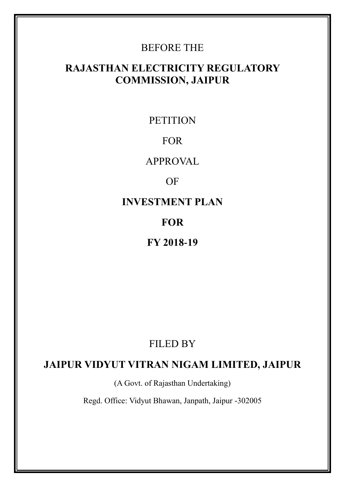# BEFORE THE

# **RAJASTHAN ELECTRICITY REGULATORY COMMISSION, JAIPUR**

**PETITION** 

# FOR

APPROVAL

# OF

**INVESTMENT PLAN**

# **FOR**

# **FY 2018-19**

# FILED BY

# **JAIPUR VIDYUT VITRAN NIGAM LIMITED, JAIPUR**

(A Govt. of Rajasthan Undertaking)

Regd. Office: Vidyut Bhawan, Janpath, Jaipur -302005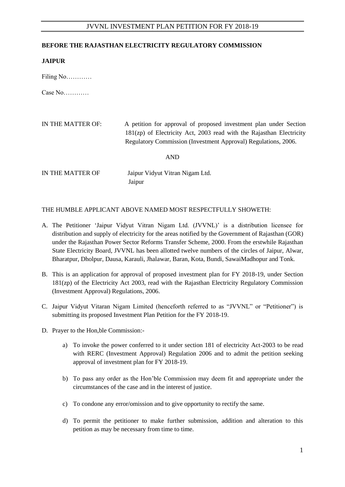#### **BEFORE THE RAJASTHAN ELECTRICITY REGULATORY COMMISSION**

#### **JAIPUR**

Filing No…………

Case No…………

| IN THE MATTER OF: | A petition for approval of proposed investment plan under Section      |
|-------------------|------------------------------------------------------------------------|
|                   | $181(zp)$ of Electricity Act, 2003 read with the Rajasthan Electricity |
|                   | Regulatory Commission (Investment Approval) Regulations, 2006.         |
|                   |                                                                        |

AND

IN THE MATTER OF Jaipur Vidyut Vitran Nigam Ltd. Jaipur

### THE HUMBLE APPLICANT ABOVE NAMED MOST RESPECTFULLY SHOWETH:

- A. The Petitioner "Jaipur Vidyut Vitran Nigam Ltd. (JVVNL)" is a distribution licensee for distribution and supply of electricity for the areas notified by the Government of Rajasthan (GOR) under the Rajasthan Power Sector Reforms Transfer Scheme, 2000. From the erstwhile Rajasthan State Electricity Board, JVVNL has been allotted twelve numbers of the circles of Jaipur, Alwar, Bharatpur, Dholpur, Dausa, Karauli, Jhalawar, Baran, Kota, Bundi, SawaiMadhopur and Tonk.
- B. This is an application for approval of proposed investment plan for FY 2018-19, under Section 181(zp) of the Electricity Act 2003, read with the Rajasthan Electricity Regulatory Commission (Investment Approval) Regulations, 2006.
- C. Jaipur Vidyut Vitaran Nigam Limited (henceforth referred to as "JVVNL" or "Petitioner") is submitting its proposed Investment Plan Petition for the FY 2018-19.
- D. Prayer to the Hon,ble Commission:
	- a) To invoke the power conferred to it under section 181 of electricity Act-2003 to be read with RERC (Investment Approval) Regulation 2006 and to admit the petition seeking approval of investment plan for FY 2018-19.
	- b) To pass any order as the Hon"ble Commission may deem fit and appropriate under the circumstances of the case and in the interest of justice.
	- c) To condone any error/omission and to give opportunity to rectify the same.
	- d) To permit the petitioner to make further submission, addition and alteration to this petition as may be necessary from time to time.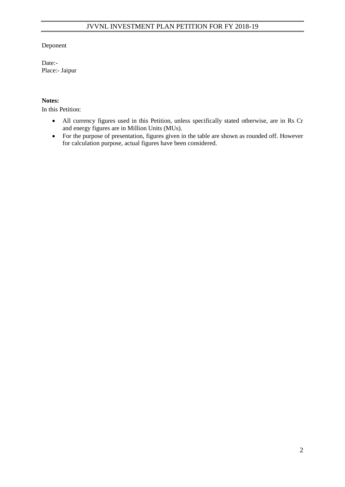### Deponent

Date:- Place:- Jaipur

### **Notes:**

In this Petition:

- All currency figures used in this Petition, unless specifically stated otherwise, are in Rs Cr and energy figures are in Million Units (MUs).
- For the purpose of presentation, figures given in the table are shown as rounded off. However for calculation purpose, actual figures have been considered.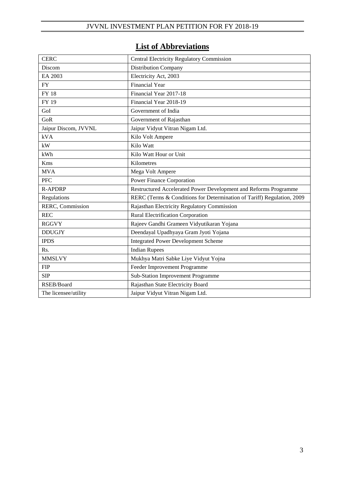# **List of Abbreviations**

| <b>CERC</b>          | <b>Central Electricity Regulatory Commission</b>                       |  |
|----------------------|------------------------------------------------------------------------|--|
| Discom               | <b>Distribution Company</b>                                            |  |
| EA 2003              | Electricity Act, 2003                                                  |  |
| <b>FY</b>            | <b>Financial Year</b>                                                  |  |
| <b>FY 18</b>         | Financial Year 2017-18                                                 |  |
| FY 19                | Financial Year 2018-19                                                 |  |
| GoI                  | Government of India                                                    |  |
| GoR                  | Government of Rajasthan                                                |  |
| Jaipur Discom, JVVNL | Jaipur Vidyut Vitran Nigam Ltd.                                        |  |
| kVA                  | Kilo Volt Ampere                                                       |  |
| kW                   | Kilo Watt                                                              |  |
| kWh                  | Kilo Watt Hour or Unit                                                 |  |
| Kms                  | Kilometres                                                             |  |
| <b>MVA</b>           | Mega Volt Ampere                                                       |  |
| <b>PFC</b>           | Power Finance Corporation                                              |  |
| <b>R-APDRP</b>       | Restructured Accelerated Power Development and Reforms Programme       |  |
| Regulations          | RERC (Terms & Conditions for Determination of Tariff) Regulation, 2009 |  |
| RERC, Commission     | Rajasthan Electricity Regulatory Commission                            |  |
| <b>REC</b>           | <b>Rural Electrification Corporation</b>                               |  |
| <b>RGGVY</b>         | Rajeev Gandhi Grameen Vidyutikaran Yojana                              |  |
| <b>DDUGJY</b>        | Deendayal Upadhyaya Gram Jyoti Yojana                                  |  |
| <b>IPDS</b>          | <b>Integrated Power Development Scheme</b>                             |  |
| Rs.                  | <b>Indian Rupees</b>                                                   |  |
| <b>MMSLVY</b>        | Mukhya Matri Sabke Liye Vidyut Yojna                                   |  |
| <b>FIP</b>           | Feeder Improvement Programme                                           |  |
| <b>SIP</b>           | Sub-Station Improvement Programme                                      |  |
| RSEB/Board           | Rajasthan State Electricity Board                                      |  |
| The licensee/utility | Jaipur Vidyut Vitran Nigam Ltd.                                        |  |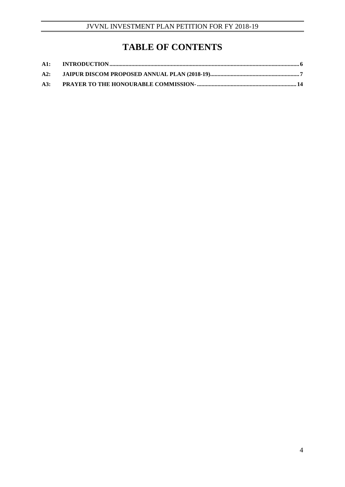# **TABLE OF CONTENTS**

| A2: |  |
|-----|--|
| A3: |  |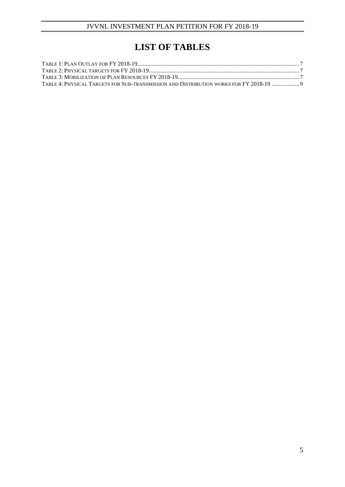# **LIST OF TABLES**

| TABLE 4: PHYSICAL TARGETS FOR SUB-TRANSMISSION AND DISTRIBUTION WORKS FOR FY 2018-19  9 |  |
|-----------------------------------------------------------------------------------------|--|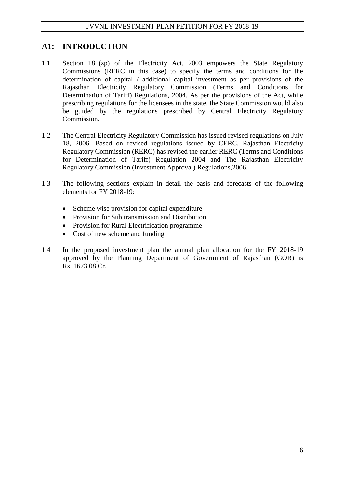# **A1: INTRODUCTION**

- 1.1 Section 181(zp) of the Electricity Act, 2003 empowers the State Regulatory Commissions (RERC in this case) to specify the terms and conditions for the determination of capital / additional capital investment as per provisions of the Rajasthan Electricity Regulatory Commission (Terms and Conditions for Determination of Tariff) Regulations, 2004. As per the provisions of the Act, while prescribing regulations for the licensees in the state, the State Commission would also be guided by the regulations prescribed by Central Electricity Regulatory Commission.
- 1.2 The Central Electricity Regulatory Commission has issued revised regulations on July 18, 2006. Based on revised regulations issued by CERC, Rajasthan Electricity Regulatory Commission (RERC) has revised the earlier RERC (Terms and Conditions for Determination of Tariff) Regulation 2004 and The Rajasthan Electricity Regulatory Commission (Investment Approval) Regulations,2006.
- 1.3 The following sections explain in detail the basis and forecasts of the following elements for FY 2018-19:
	- Scheme wise provision for capital expenditure
	- Provision for Sub transmission and Distribution
	- Provision for Rural Electrification programme
	- Cost of new scheme and funding
- 1.4 In the proposed investment plan the annual plan allocation for the FY 2018-19 approved by the Planning Department of Government of Rajasthan (GOR) is Rs. 1673.08 Cr.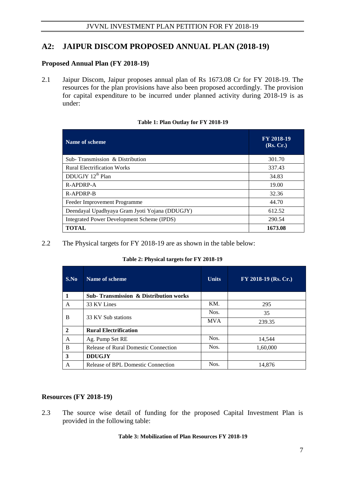# **A2: JAIPUR DISCOM PROPOSED ANNUAL PLAN (2018-19)**

### **Proposed Annual Plan (FY 2018-19)**

2.1 Jaipur Discom, Jaipur proposes annual plan of Rs 1673.08 Cr for FY 2018-19. The resources for the plan provisions have also been proposed accordingly. The provision for capital expenditure to be incurred under planned activity during 2018-19 is as under:

|  |  | Table 1: Plan Outlay for FY 2018-19 |
|--|--|-------------------------------------|
|  |  |                                     |

| Name of scheme                                    | FY 2018-19<br>(Rs, Cr.) |
|---------------------------------------------------|-------------------------|
| Sub-Transmission & Distribution                   | 301.70                  |
| <b>Rural Electrification Works</b>                | 337.43                  |
| DDUGJY 12 <sup>th</sup> Plan                      | 34.83                   |
| $R-APPORP-A$                                      | 19.00                   |
| R-APDRP-B                                         | 32.36                   |
| Feeder Improvement Programme                      | 44.70                   |
| Deendayal Upadhyaya Gram Jyoti Yojana (DDUGJY)    | 612.52                  |
| <b>Integrated Power Development Scheme (IPDS)</b> | 290.54                  |
| <b>TOTAL</b>                                      | 1673.08                 |

#### 2.2 The Physical targets for FY 2018-19 are as shown in the table below:

|  | Table 2: Physical targets for FY 2018-19 |  |
|--|------------------------------------------|--|
|  |                                          |  |

| S.No           | Name of scheme                                    | <b>Units</b> | $FY$ 2018-19 (Rs. Cr.) |
|----------------|---------------------------------------------------|--------------|------------------------|
|                | <b>Sub- Transmission &amp; Distribution works</b> |              |                        |
| A              | 33 KV Lines                                       | KM.          | 295                    |
|                |                                                   | Nos.         | 35                     |
| B              | 33 KV Sub stations                                | <b>MVA</b>   | 239.35                 |
| $\overline{2}$ | <b>Rural Electrification</b>                      |              |                        |
| A              | Ag. Pump Set RE                                   | Nos.         | 14,544                 |
| B              | <b>Release of Rural Domestic Connection</b>       | Nos.         | 1,60,000               |
| 3              | <b>DDUGJY</b>                                     |              |                        |
| A              | Release of BPL Domestic Connection                | Nos.         | 14,876                 |

### **Resources (FY 2018-19)**

2.3 The source wise detail of funding for the proposed Capital Investment Plan is provided in the following table:

#### **Table 3: Mobilization of Plan Resources FY 2018-19**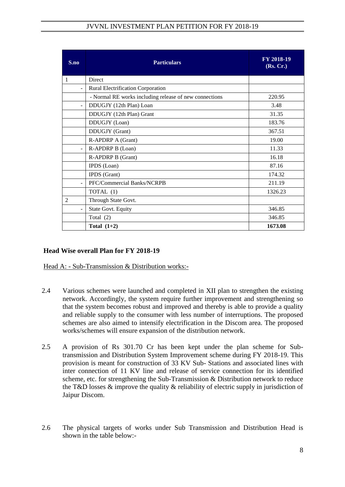| S.no                     | <b>Particulars</b>                                     | FY 2018-19<br>(Rs, Cr.) |
|--------------------------|--------------------------------------------------------|-------------------------|
| 1                        | Direct                                                 |                         |
| $\overline{a}$           | Rural Electrification Corporation                      |                         |
|                          | - Normal RE works including release of new connections | 220.95                  |
| $\blacksquare$           | DDUGJY (12th Plan) Loan                                | 3.48                    |
|                          | DDUGJY (12th Plan) Grant                               | 31.35                   |
|                          | DDUGJY (Loan)                                          | 183.76                  |
|                          | DDUGJY (Grant)                                         | 367.51                  |
|                          | R-APDRP A (Grant)                                      | 19.00                   |
| $\blacksquare$           | R-APDRP B (Loan)                                       | 11.33                   |
|                          | <b>R-APDRP B (Grant)</b>                               | 16.18                   |
|                          | IPDS (Loan)                                            | 87.16                   |
|                          | IPDS (Grant)                                           | 174.32                  |
| $\overline{a}$           | PFC/Commercial Banks/NCRPB                             | 211.19                  |
|                          | TOTAL (1)                                              | 1326.23                 |
| $\overline{2}$           | Through State Govt.                                    |                         |
| $\overline{\phantom{a}}$ | State Govt. Equity                                     | 346.85                  |
|                          | Total $(2)$                                            | 346.85                  |
|                          | Total $(1+2)$                                          | 1673.08                 |

## **Head Wise overall Plan for FY 2018-19**

Head A: - Sub-Transmission & Distribution works:-

- 2.4 Various schemes were launched and completed in XII plan to strengthen the existing network. Accordingly, the system require further improvement and strengthening so that the system becomes robust and improved and thereby is able to provide a quality and reliable supply to the consumer with less number of interruptions. The proposed schemes are also aimed to intensify electrification in the Discom area. The proposed works/schemes will ensure expansion of the distribution network.
- 2.5 A provision of Rs 301.70 Cr has been kept under the plan scheme for Subtransmission and Distribution System Improvement scheme during FY 2018-19. This provision is meant for construction of 33 KV Sub- Stations and associated lines with inter connection of 11 KV line and release of service connection for its identified scheme, etc. for strengthening the Sub-Transmission & Distribution network to reduce the T&D losses  $\&$  improve the quality  $\&$  reliability of electric supply in jurisdiction of Jaipur Discom.
- 2.6 The physical targets of works under Sub Transmission and Distribution Head is shown in the table below:-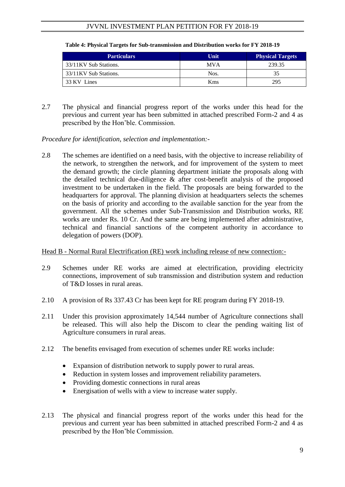| <b>Particulars</b>    | Unit        | <b>Physical Targets</b> |
|-----------------------|-------------|-------------------------|
| 33/11KV Sub Stations. | <b>MVA</b>  | 239.35                  |
| 33/11KV Sub Stations. | Nos.        |                         |
| 33 KV Lines           | <b>K</b> ms | 295                     |

#### **Table 4: Physical Targets for Sub-transmission and Distribution works for FY 2018-19**

2.7 The physical and financial progress report of the works under this head for the previous and current year has been submitted in attached prescribed Form-2 and 4 as prescribed by the Hon"ble. Commission.

*Procedure for identification, selection and implementation:-*

2.8 The schemes are identified on a need basis, with the objective to increase reliability of the network, to strengthen the network, and for improvement of the system to meet the demand growth; the circle planning department initiate the proposals along with the detailed technical due-diligence & after cost-benefit analysis of the proposed investment to be undertaken in the field. The proposals are being forwarded to the headquarters for approval. The planning division at headquarters selects the schemes on the basis of priority and according to the available sanction for the year from the government. All the schemes under Sub-Transmission and Distribution works, RE works are under Rs. 10 Cr. And the same are being implemented after administrative, technical and financial sanctions of the competent authority in accordance to delegation of powers (DOP).

## Head B - Normal Rural Electrification (RE) work including release of new connection:-

- 2.9 Schemes under RE works are aimed at electrification, providing electricity connections, improvement of sub transmission and distribution system and reduction of T&D losses in rural areas.
- 2.10 A provision of Rs 337.43 Cr has been kept for RE program during FY 2018-19.
- 2.11 Under this provision approximately 14,544 number of Agriculture connections shall be released. This will also help the Discom to clear the pending waiting list of Agriculture consumers in rural areas.
- 2.12 The benefits envisaged from execution of schemes under RE works include:
	- Expansion of distribution network to supply power to rural areas.
	- Reduction in system losses and improvement reliability parameters.
	- Providing domestic connections in rural areas
	- Energisation of wells with a view to increase water supply.
- 2.13 The physical and financial progress report of the works under this head for the previous and current year has been submitted in attached prescribed Form-2 and 4 as prescribed by the Hon"ble Commission.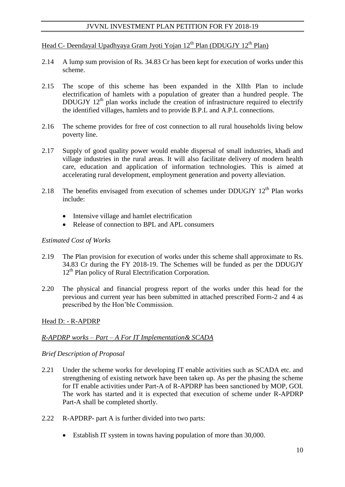# Head C- Deendayal Upadhyaya Gram Jyoti Yojan  $12^{th}$  Plan (DDUGJY  $12^{th}$  Plan)

- 2.14 A lump sum provision of Rs. 34.83 Cr has been kept for execution of works under this scheme.
- 2.15 The scope of this scheme has been expanded in the XIIth Plan to include electrification of hamlets with a population of greater than a hundred people. The DDUGJY  $12<sup>th</sup>$  plan works include the creation of infrastructure required to electrify the identified villages, hamlets and to provide B.P.L and A.P.L connections.
- 2.16 The scheme provides for free of cost connection to all rural households living below poverty line.
- 2.17 Supply of good quality power would enable dispersal of small industries, khadi and village industries in the rural areas. It will also facilitate delivery of modern health care, education and application of information technologies. This is aimed at accelerating rural development, employment generation and poverty alleviation.
- 2.18 The benefits envisaged from execution of schemes under DDUGJY  $12<sup>th</sup>$  Plan works include:
	- Intensive village and hamlet electrification
	- Release of connection to BPL and APL consumers

### *Estimated Cost of Works*

- 2.19 The Plan provision for execution of works under this scheme shall approximate to Rs. 34.83 Cr during the FY 2018-19. The Schemes will be funded as per the DDUGJY 12<sup>th</sup> Plan policy of Rural Electrification Corporation.
- 2.20 The physical and financial progress report of the works under this head for the previous and current year has been submitted in attached prescribed Form-2 and 4 as prescribed by the Hon"ble Commission.

### Head D: - R-APDRP

## *R-APDRP works – Part – A For IT Implementation& SCADA*

### *Brief Description of Proposal*

- 2.21 Under the scheme works for developing IT enable activities such as SCADA etc. and strengthening of existing network have been taken up. As per the phasing the scheme for IT enable activities under Part-A of R-APDRP has been sanctioned by MOP, GOI. The work has started and it is expected that execution of scheme under R-APDRP Part-A shall be completed shortly.
- 2.22 R-APDRP- part A is further divided into two parts:
	- Establish IT system in towns having population of more than 30,000.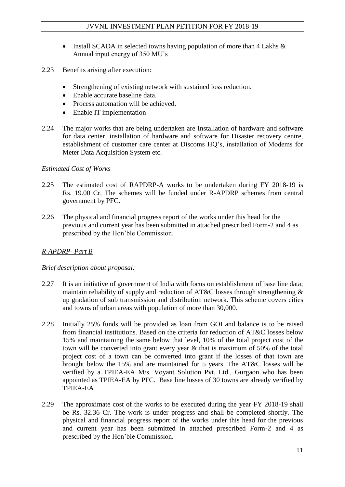- Install SCADA in selected towns having population of more than  $4$  Lakhs  $\&$ Annual input energy of 350 MU"s
- 2.23 Benefits arising after execution:
	- Strengthening of existing network with sustained loss reduction.
	- Enable accurate baseline data.
	- Process automation will be achieved.
	- Enable IT implementation
- 2.24 The major works that are being undertaken are Installation of hardware and software for data center, installation of hardware and software for Disaster recovery centre, establishment of customer care center at Discoms HQ"s, installation of Modems for Meter Data Acquisition System etc.

## *Estimated Cost of Works*

- 2.25 The estimated cost of RAPDRP-A works to be undertaken during FY 2018-19 is Rs. 19.00 Cr. The schemes will be funded under R-APDRP schemes from central government by PFC.
- 2.26 The physical and financial progress report of the works under this head for the previous and current year has been submitted in attached prescribed Form-2 and 4 as prescribed by the Hon"ble Commission.

## *R-APDRP- Part B*

## *Brief description about proposal:*

- 2.27 It is an initiative of government of India with focus on establishment of base line data; maintain reliability of supply and reduction of AT&C losses through strengthening & up gradation of sub transmission and distribution network. This scheme covers cities and towns of urban areas with population of more than 30,000.
- 2.28 Initially 25% funds will be provided as loan from GOI and balance is to be raised from financial institutions. Based on the criteria for reduction of AT&C losses below 15% and maintaining the same below that level, 10% of the total project cost of the town will be converted into grant every year & that is maximum of 50% of the total project cost of a town can be converted into grant if the losses of that town are brought below the 15% and are maintained for 5 years. The AT&C losses will be verified by a TPIEA-EA M/s. Voyant Solution Pvt. Ltd., Gurgaon who has been appointed as TPIEA-EA by PFC. Base line losses of 30 towns are already verified by TPIEA-EA
- 2.29 The approximate cost of the works to be executed during the year FY 2018-19 shall be Rs. 32.36 Cr. The work is under progress and shall be completed shortly. The physical and financial progress report of the works under this head for the previous and current year has been submitted in attached prescribed Form-2 and 4 as prescribed by the Hon"ble Commission.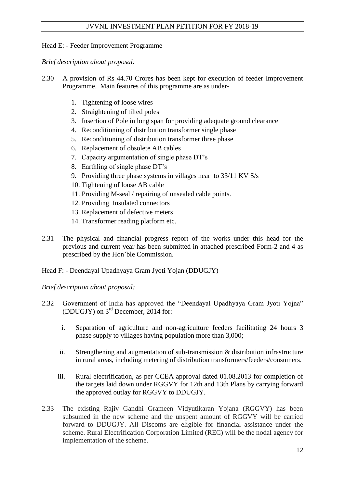## Head E: - Feeder Improvement Programme

*Brief description about proposal:* 

- 2.30 A provision of Rs 44.70 Crores has been kept for execution of feeder Improvement Programme. Main features of this programme are as under-
	- 1. Tightening of loose wires
	- 2. Straightening of tilted poles
	- 3. Insertion of Pole in long span for providing adequate ground clearance
	- 4. Reconditioning of distribution transformer single phase
	- 5. Reconditioning of distribution transformer three phase
	- 6. Replacement of obsolete AB cables
	- 7. Capacity argumentation of single phase DT"s
	- 8. Earthling of single phase DT"s
	- 9. Providing three phase systems in villages near to 33/11 KV S/s
	- 10. Tightening of loose AB cable
	- 11. Providing M-seal / repairing of unsealed cable points.
	- 12. Providing Insulated connectors
	- 13. Replacement of defective meters
	- 14. Transformer reading platform etc.
- 2.31 The physical and financial progress report of the works under this head for the previous and current year has been submitted in attached prescribed Form-2 and 4 as prescribed by the Hon"ble Commission.

## Head F: - Deendayal Upadhyaya Gram Jyoti Yojan (DDUGJY)

*Brief description about proposal:* 

- 2.32 Government of India has approved the "Deendayal Upadhyaya Gram Jyoti Yojna" (DDUGJY) on 3rd December, 2014 for:
	- i. Separation of agriculture and non-agriculture feeders facilitating 24 hours 3 phase supply to villages having population more than 3,000;
	- ii. Strengthening and augmentation of sub-transmission & distribution infrastructure in rural areas, including metering of distribution transformers/feeders/consumers.
	- iii. Rural electrification, as per CCEA approval dated 01.08.2013 for completion of the targets laid down under RGGVY for 12th and 13th Plans by carrying forward the approved outlay for RGGVY to DDUGJY.
- 2.33 The existing Rajiv Gandhi Grameen Vidyutikaran Yojana (RGGVY) has been subsumed in the new scheme and the unspent amount of RGGVY will be carried forward to DDUGJY. All Discoms are eligible for financial assistance under the scheme. Rural Electrification Corporation Limited (REC) will be the nodal agency for implementation of the scheme.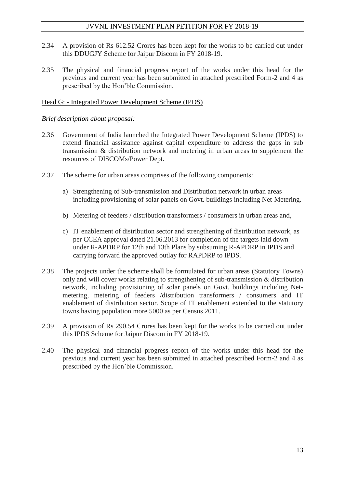- 2.34 A provision of Rs 612.52 Crores has been kept for the works to be carried out under this DDUGJY Scheme for Jaipur Discom in FY 2018-19.
- 2.35 The physical and financial progress report of the works under this head for the previous and current year has been submitted in attached prescribed Form-2 and 4 as prescribed by the Hon"ble Commission.

### Head G: - Integrated Power Development Scheme (IPDS)

### *Brief description about proposal:*

- 2.36 Government of India launched the Integrated Power Development Scheme (IPDS) to extend financial assistance against capital expenditure to address the gaps in sub transmission & distribution network and metering in urban areas to supplement the resources of DISCOMs/Power Dept.
- 2.37 The scheme for urban areas comprises of the following components:
	- a) Strengthening of Sub-transmission and Distribution network in urban areas including provisioning of solar panels on Govt. buildings including Net-Metering.
	- b) Metering of feeders / distribution transformers / consumers in urban areas and,
	- c) IT enablement of distribution sector and strengthening of distribution network, as per CCEA approval dated 21.06.2013 for completion of the targets laid down under R-APDRP for 12th and 13th Plans by subsuming R-APDRP in IPDS and carrying forward the approved outlay for RAPDRP to IPDS.
- 2.38 The projects under the scheme shall be formulated for urban areas (Statutory Towns) only and will cover works relating to strengthening of sub-transmission & distribution network, including provisioning of solar panels on Govt. buildings including Netmetering, metering of feeders /distribution transformers / consumers and IT enablement of distribution sector. Scope of IT enablement extended to the statutory towns having population more 5000 as per Census 2011.
- 2.39 A provision of Rs 290.54 Crores has been kept for the works to be carried out under this IPDS Scheme for Jaipur Discom in FY 2018-19.
- 2.40 The physical and financial progress report of the works under this head for the previous and current year has been submitted in attached prescribed Form-2 and 4 as prescribed by the Hon"ble Commission.